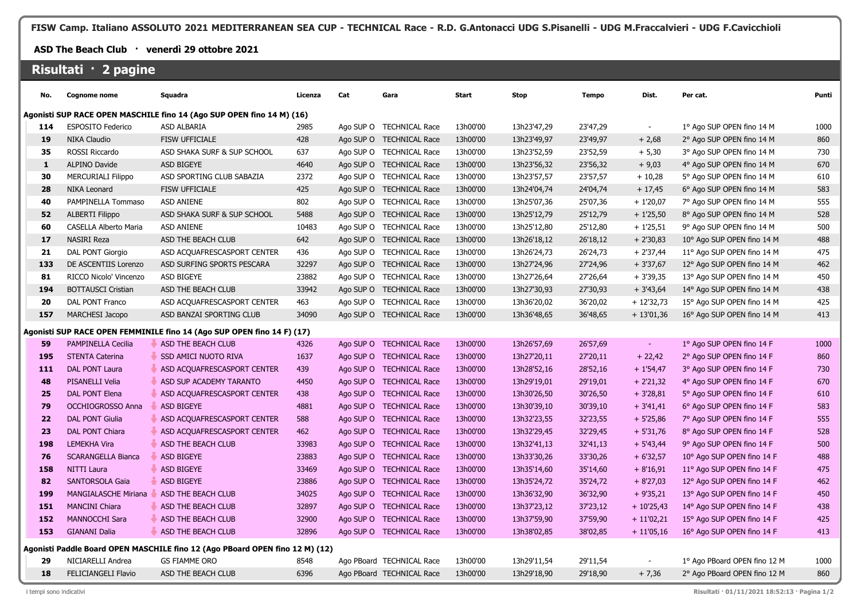**FISW Camp. Italiano ASSOLUTO 2021 MEDITERRANEAN SEA CUP - TECHNICAL Race - R.D. G.Antonacci UDG S.Pisanelli - UDG M.Fraccalvieri - UDG F.Cavicchioli**

## **ASD The Beach Club · venerdì 29 ottobre 2021**

## **Risultati · 2 pagine**

| No.                                                                          | <b>Cognome nome</b>                                                    | Squadra                     | Licenza | Cat | Gara                      | <b>Start</b> | <b>Stop</b> | <b>Tempo</b> | Dist.       | Per cat.                     | Punti |
|------------------------------------------------------------------------------|------------------------------------------------------------------------|-----------------------------|---------|-----|---------------------------|--------------|-------------|--------------|-------------|------------------------------|-------|
| Agonisti SUP RACE OPEN MASCHILE fino 14 (Ago SUP OPEN fino 14 M) (16)        |                                                                        |                             |         |     |                           |              |             |              |             |                              |       |
| 114                                                                          | <b>ESPOSITO Federico</b>                                               | ASD ALBARIA                 | 2985    |     | Ago SUP O TECHNICAL Race  | 13h00'00     | 13h23'47,29 | 23'47,29     |             | 1º Ago SUP OPEN fino 14 M    | 1000  |
| 19                                                                           | NIKA Claudio                                                           | <b>FISW UFFICIALE</b>       | 428     |     | Ago SUP O TECHNICAL Race  | 13h00'00     | 13h23'49,97 | 23'49,97     | $+2,68$     | 2° Ago SUP OPEN fino 14 M    | 860   |
| 35                                                                           | ROSSI Riccardo                                                         | ASD SHAKA SURF & SUP SCHOOL | 637     |     | Ago SUP O TECHNICAL Race  | 13h00'00     | 13h23'52,59 | 23'52,59     | $+ 5,30$    | 3° Ago SUP OPEN fino 14 M    | 730   |
| $\mathbf{1}$                                                                 | <b>ALPINO Davide</b>                                                   | <b>ASD BIGEYE</b>           | 4640    |     | Ago SUP O TECHNICAL Race  | 13h00'00     | 13h23'56,32 | 23'56,32     | $+9,03$     | 4° Ago SUP OPEN fino 14 M    | 670   |
| 30                                                                           | <b>MERCURIALI Filippo</b>                                              | ASD SPORTING CLUB SABAZIA   | 2372    |     | Ago SUP O TECHNICAL Race  | 13h00'00     | 13h23'57,57 | 23'57,57     | $+10,28$    | 5° Ago SUP OPEN fino 14 M    | 610   |
| 28                                                                           | <b>NIKA Leonard</b>                                                    | FISW UFFICIALE              | 425     |     | Ago SUP O TECHNICAL Race  | 13h00'00     | 13h24'04,74 | 24'04,74     | $+17,45$    | 6° Ago SUP OPEN fino 14 M    | 583   |
| 40                                                                           | PAMPINELLA Tommaso                                                     | <b>ASD ANIENE</b>           | 802     |     | Ago SUP O TECHNICAL Race  | 13h00'00     | 13h25'07,36 | 25'07,36     | $+1'20,07$  | 7° Ago SUP OPEN fino 14 M    | 555   |
| 52                                                                           | <b>ALBERTI Filippo</b>                                                 | ASD SHAKA SURF & SUP SCHOOL | 5488    |     | Ago SUP O TECHNICAL Race  | 13h00'00     | 13h25'12,79 | 25'12,79     | $+1'25,50$  | 8° Ago SUP OPEN fino 14 M    | 528   |
| 60                                                                           | CASELLA Alberto Maria                                                  | <b>ASD ANIENE</b>           | 10483   |     | Ago SUP O TECHNICAL Race  | 13h00'00     | 13h25'12,80 | 25'12,80     | $+1'25,51$  | 9° Ago SUP OPEN fino 14 M    | 500   |
| 17                                                                           | <b>NASIRI Reza</b>                                                     | ASD THE BEACH CLUB          | 642     |     | Ago SUP O TECHNICAL Race  | 13h00'00     | 13h26'18,12 | 26'18,12     | $+2'30,83$  | 10° Ago SUP OPEN fino 14 M   | 488   |
| 21                                                                           | DAL PONT Giorgio                                                       | ASD ACQUAFRESCASPORT CENTER | 436     |     | Ago SUP O TECHNICAL Race  | 13h00'00     | 13h26'24,73 | 26'24,73     | $+2'37,44$  | 11° Ago SUP OPEN fino 14 M   | 475   |
| 133                                                                          | DE ASCENTIIS Lorenzo                                                   | ASD SURFING SPORTS PESCARA  | 32297   |     | Ago SUP O TECHNICAL Race  | 13h00'00     | 13h27'24,96 | 27'24,96     | $+3'37,67$  | 12° Ago SUP OPEN fino 14 M   | 462   |
| 81                                                                           | RICCO Nicolo' Vincenzo                                                 | ASD BIGEYE                  | 23882   |     | Ago SUP O TECHNICAL Race  | 13h00'00     | 13h27'26,64 | 27'26,64     | $+3'39,35$  | 13° Ago SUP OPEN fino 14 M   | 450   |
| 194                                                                          | <b>BOTTAUSCI Cristian</b>                                              | ASD THE BEACH CLUB          | 33942   |     | Ago SUP O TECHNICAL Race  | 13h00'00     | 13h27'30,93 | 27'30,93     | $+3'43,64$  | 14° Ago SUP OPEN fino 14 M   | 438   |
| 20                                                                           | DAL PONT Franco                                                        | ASD ACQUAFRESCASPORT CENTER | 463     |     | Ago SUP O TECHNICAL Race  | 13h00'00     | 13h36'20,02 | 36'20,02     | $+12'32,73$ | 15° Ago SUP OPEN fino 14 M   | 425   |
| 157                                                                          | MARCHESI Jacopo                                                        | ASD BANZAI SPORTING CLUB    | 34090   |     | Ago SUP O TECHNICAL Race  | 13h00'00     | 13h36'48,65 | 36'48,65     | $+13'01,36$ | 16° Ago SUP OPEN fino 14 M   | 413   |
|                                                                              | Agonisti SUP RACE OPEN FEMMINILE fino 14 (Ago SUP OPEN fino 14 F) (17) |                             |         |     |                           |              |             |              |             |                              |       |
| 59                                                                           | PAMPINELLA Cecilia                                                     | ASD THE BEACH CLUB          | 4326    |     | Ago SUP O TECHNICAL Race  | 13h00'00     | 13h26'57,69 | 26'57,69     | $\sim$      | 1º Ago SUP OPEN fino 14 F    | 1000  |
| 195                                                                          | <b>STENTA Caterina</b>                                                 | <b>SSD AMICI NUOTO RIVA</b> | 1637    |     | Ago SUP O TECHNICAL Race  | 13h00'00     | 13h27'20,11 | 27'20,11     | $+22,42$    | 2° Ago SUP OPEN fino 14 F    | 860   |
| 111                                                                          | DAL PONT Laura                                                         | ASD ACQUAFRESCASPORT CENTER | 439     |     | Ago SUP O TECHNICAL Race  | 13h00'00     | 13h28'52,16 | 28'52,16     | $+1'54,47$  | 3° Ago SUP OPEN fino 14 F    | 730   |
| 48                                                                           | PISANELLI Velia                                                        | ASD SUP ACADEMY TARANTO     | 4450    |     | Ago SUP O TECHNICAL Race  | 13h00'00     | 13h29'19,01 | 29'19,01     | $+2'21,32$  | 4° Ago SUP OPEN fino 14 F    | 670   |
| 25                                                                           | DAL PONT Elena                                                         | ASD ACQUAFRESCASPORT CENTER | 438     |     | Ago SUP O TECHNICAL Race  | 13h00'00     | 13h30'26,50 | 30'26,50     | $+3'28,81$  | 5° Ago SUP OPEN fino 14 F    | 610   |
| 79                                                                           | <b>OCCHIOGROSSO Anna</b>                                               | <b>ASD BIGEYE</b>           | 4881    |     | Ago SUP O TECHNICAL Race  | 13h00'00     | 13h30'39,10 | 30'39,10     | $+3'41,41$  | 6° Ago SUP OPEN fino 14 F    | 583   |
| 22                                                                           | <b>DAL PONT Giulia</b>                                                 | ASD ACQUAFRESCASPORT CENTER | 588     |     | Ago SUP O TECHNICAL Race  | 13h00'00     | 13h32'23,55 | 32'23,55     | $+5'25,86$  | 7° Ago SUP OPEN fino 14 F    | 555   |
| 23                                                                           | DAL PONT Chiara                                                        | ASD ACQUAFRESCASPORT CENTER | 462     |     | Ago SUP O TECHNICAL Race  | 13h00'00     | 13h32'29,45 | 32'29,45     | $+5'31,76$  | 8° Ago SUP OPEN fino 14 F    | 528   |
| 198                                                                          | <b>LEMEKHA Vira</b>                                                    | ASD THE BEACH CLUB          | 33983   |     | Ago SUP O TECHNICAL Race  | 13h00'00     | 13h32'41,13 | 32'41,13     | $+5'43,44$  | 9° Ago SUP OPEN fino 14 F    | 500   |
| 76                                                                           | <b>SCARANGELLA Bianca</b>                                              | <b>ASD BIGEYE</b>           | 23883   |     | Ago SUP O TECHNICAL Race  | 13h00'00     | 13h33'30,26 | 33'30,26     | $+6'32,57$  | 10° Ago SUP OPEN fino 14 F   | 488   |
| 158                                                                          | NITTI Laura                                                            | ASD BIGEYE                  | 33469   |     | Ago SUP O TECHNICAL Race  | 13h00'00     | 13h35'14,60 | 35'14,60     | $+8'16,91$  | 11° Ago SUP OPEN fino 14 F   | 475   |
| 82                                                                           | <b>SANTORSOLA Gaia</b>                                                 | <b>ASD BIGEYE</b>           | 23886   |     | Ago SUP O TECHNICAL Race  | 13h00'00     | 13h35'24,72 | 35'24,72     | $+8'27,03$  | 12° Ago SUP OPEN fino 14 F   | 462   |
| 199                                                                          | <b>MANGIALASCHE Miriana</b>                                            | ASD THE BEACH CLUB          | 34025   |     | Ago SUP O TECHNICAL Race  | 13h00'00     | 13h36'32,90 | 36'32,90     | $+9'35,21$  | 13° Ago SUP OPEN fino 14 F   | 450   |
| 151                                                                          | <b>MANCINI Chiara</b>                                                  | ASD THE BEACH CLUB          | 32897   |     | Ago SUP O TECHNICAL Race  | 13h00'00     | 13h37'23,12 | 37'23,12     | $+10'25,43$ | 14° Ago SUP OPEN fino 14 F   | 438   |
| 152                                                                          | MANNOCCHI Sara                                                         | ASD THE BEACH CLUB          | 32900   |     | Ago SUP O TECHNICAL Race  | 13h00'00     | 13h37'59,90 | 37'59,90     | $+11'02,21$ | 15° Ago SUP OPEN fino 14 F   | 425   |
| 153                                                                          | <b>GIANANI Dalia</b>                                                   | ASD THE BEACH CLUB          | 32896   |     | Ago SUP O TECHNICAL Race  | 13h00'00     | 13h38'02,85 | 38'02,85     | $+11'05,16$ | 16° Ago SUP OPEN fino 14 F   | 413   |
| Agonisti Paddle Board OPEN MASCHILE fino 12 (Ago PBoard OPEN fino 12 M) (12) |                                                                        |                             |         |     |                           |              |             |              |             |                              |       |
| 29                                                                           | NICIARELLI Andrea                                                      | <b>GS FIAMME ORO</b>        | 8548    |     | Ago PBoard TECHNICAL Race | 13h00'00     | 13h29'11,54 | 29'11,54     |             | 1° Ago PBoard OPEN fino 12 M | 1000  |
| 18                                                                           | <b>FELICIANGELI Flavio</b>                                             | ASD THE BEACH CLUB          | 6396    |     | Ago PBoard TECHNICAL Race | 13h00'00     | 13h29'18,90 | 29'18,90     | $+7,36$     | 2° Ago PBoard OPEN fino 12 M | 860   |